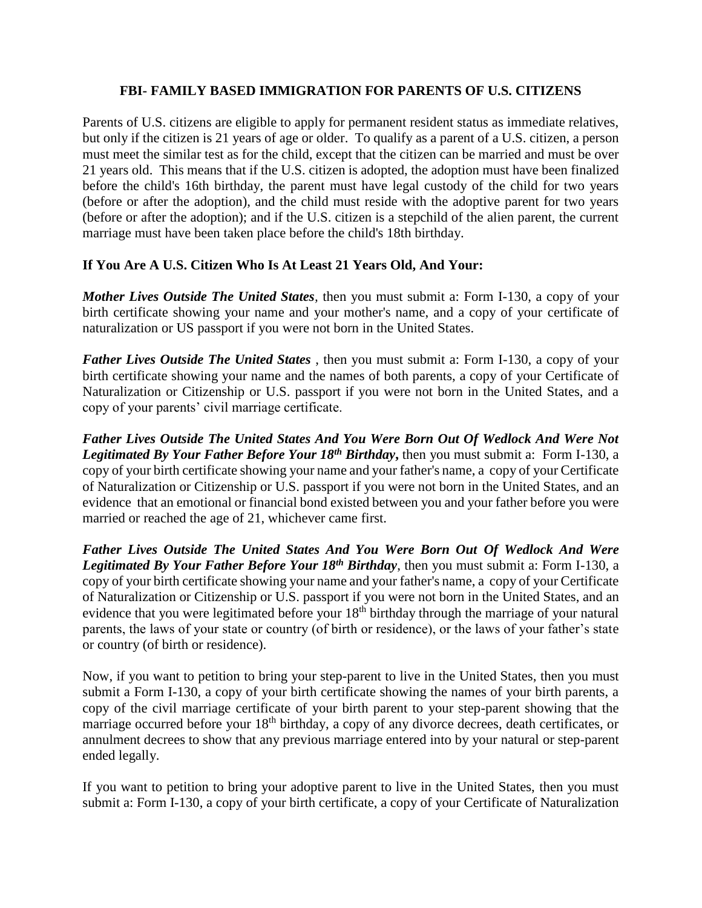## **FBI- FAMILY BASED IMMIGRATION FOR PARENTS OF U.S. CITIZENS**

Parents of U.S. citizens are eligible to apply for permanent resident status as immediate relatives, but only if the citizen is 21 years of age or older. To qualify as a parent of a U.S. citizen, a person must meet the similar test as for the child, except that the citizen can be married and must be over 21 years old. This means that if the U.S. citizen is adopted, the adoption must have been finalized before the child's 16th birthday, the parent must have legal custody of the child for two years (before or after the adoption), and the child must reside with the adoptive parent for two years (before or after the adoption); and if the U.S. citizen is a stepchild of the alien parent, the current marriage must have been taken place before the child's 18th birthday.

## **If You Are A U.S. Citizen Who Is At Least 21 Years Old, And Your:**

*Mother Lives Outside The United States,* then you must submit a: Form I-130, a copy of your birth certificate showing your name and your mother's name, and a copy of your certificate of naturalization or US passport if you were not born in the United States.

*Father Lives Outside The United States* , then you must submit a: Form I-130, a copy of your birth certificate showing your name and the names of both parents, a copy of your Certificate of Naturalization or Citizenship or U.S. passport if you were not born in the United States, and a copy of your parents' civil marriage certificate.

*Father Lives Outside The United States And You Were Born Out Of Wedlock And Were Not Legitimated By Your Father Before Your 18th Birthday***,** then you must submit a: Form I-130, a copy of your birth certificate showing your name and your father's name, a copy of your Certificate of Naturalization or Citizenship or U.S. passport if you were not born in the United States, and an evidence that an emotional or financial bond existed between you and your father before you were married or reached the age of 21, whichever came first.

*Father Lives Outside The United States And You Were Born Out Of Wedlock And Were Legitimated By Your Father Before Your 18th Birthday*, then you must submit a: Form I-130, a copy of your birth certificate showing your name and your father's name, a copy of your Certificate of Naturalization or Citizenship or U.S. passport if you were not born in the United States, and an evidence that you were legitimated before your 18<sup>th</sup> birthday through the marriage of your natural parents, the laws of your state or country (of birth or residence), or the laws of your father's state or country (of birth or residence).

Now, if you want to petition to bring your step-parent to live in the United States, then you must submit a Form I-130, a copy of your birth certificate showing the names of your birth parents, a copy of the civil marriage certificate of your birth parent to your step-parent showing that the marriage occurred before your 18<sup>th</sup> birthday, a copy of any divorce decrees, death certificates, or annulment decrees to show that any previous marriage entered into by your natural or step-parent ended legally.

If you want to petition to bring your adoptive parent to live in the United States, then you must submit a: Form I-130, a copy of your birth certificate, a copy of your Certificate of Naturalization